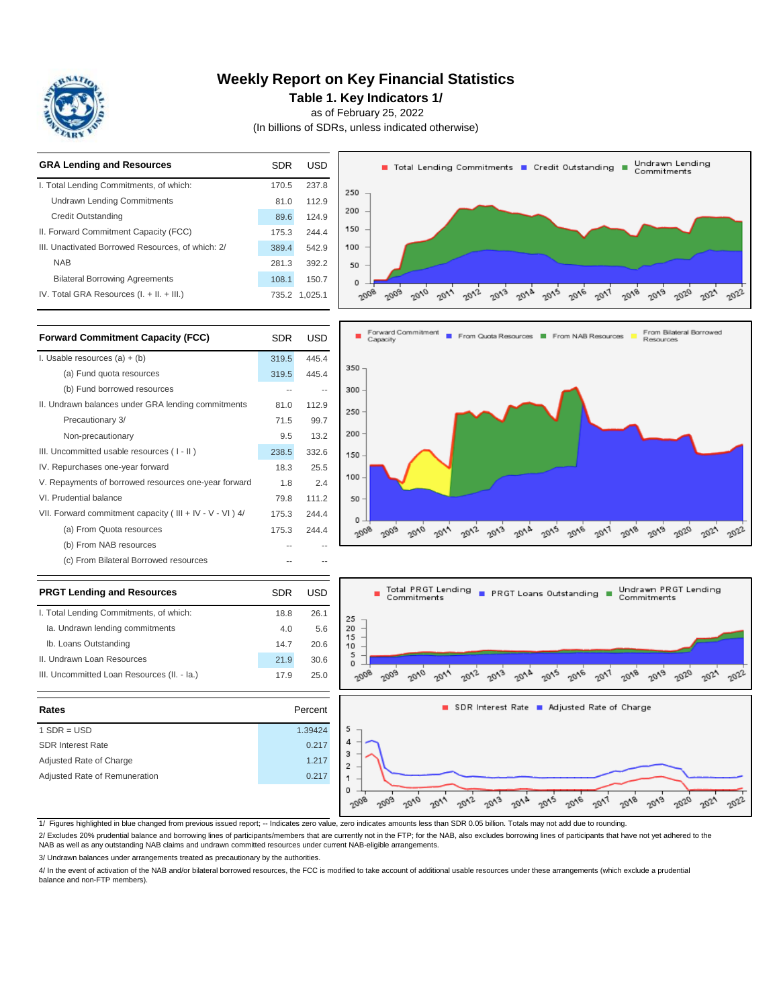

### **Weekly Report on Key Financial Statistics**

**Table 1. Key Indicators 1/**

as of February 25, 2022

(In billions of SDRs, unless indicated otherwise)



| III. Uncommitted Loan Resources (II. - Ia.) | 17.9 | 25.0    |
|---------------------------------------------|------|---------|
| Rates                                       |      | Percent |
| $1$ SDR = USD                               |      | 1.39424 |
| <b>SDR Interest Rate</b>                    |      | 0.217   |
| Adjusted Rate of Charge                     |      | 1.217   |
| Adjusted Rate of Remuneration               |      | 0.217   |

II. Undrawn Loan Resources



1/ Figures highlighted in blue changed from previous issued report; -- Indicates zero value, zero indicates amounts less than SDR 0.05 billion. Totals may not add due to rounding.

21.9 30.6

2/ Excludes 20% prudential balance and borrowing lines of participants/members that are currently not in the FTP; for the NAB, also excludes borrowing lines of participants that have not yet adhered to the

NAB as well as any outstanding NAB claims and undrawn committed resources under current NAB-eligible arrangements.

3/ Undrawn balances under arrangements treated as precautionary by the authorities.

4/ In the event of activation of the NAB and/or bilateral borrowed resources, the FCC is modified to take account of additional usable resources under these arrangements (which exclude a prudential balance and non-FTP members).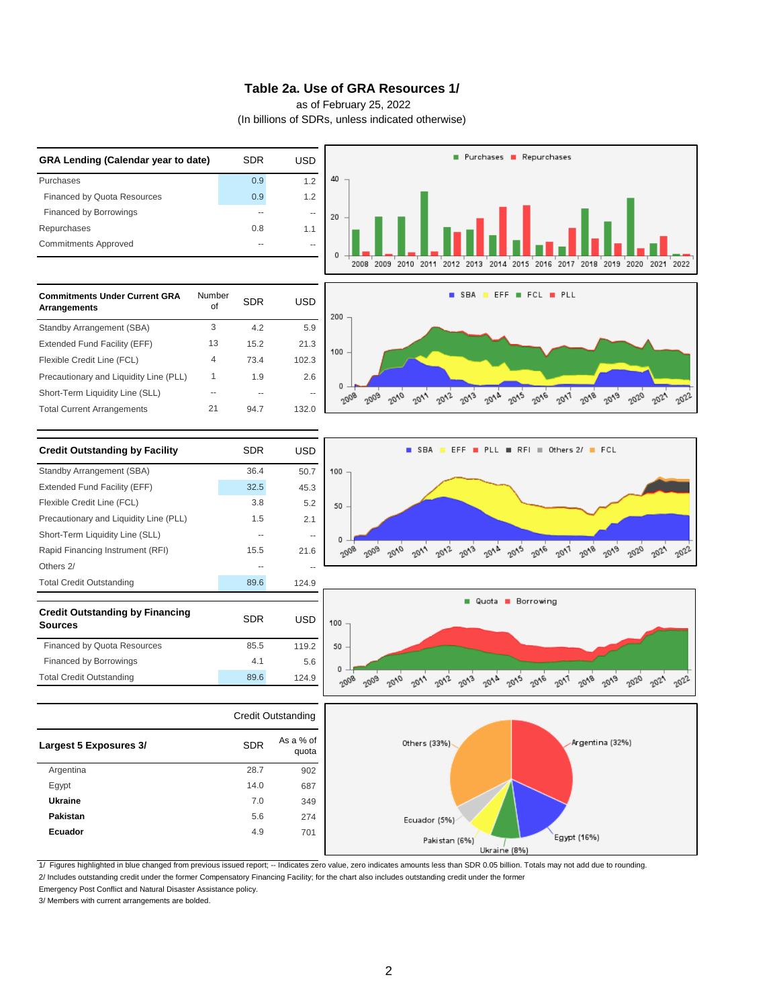#### **Table 2a. Use of GRA Resources 1/**

as of February 25, 2022

(In billions of SDRs, unless indicated otherwise)



1/ Figures highlighted in blue changed from previous issued report; -- Indicates zero value, zero indicates amounts less than SDR 0.05 billion. Totals may not add due to rounding.

2/ Includes outstanding credit under the former Compensatory Financing Facility; for the chart also includes outstanding credit under the former

Emergency Post Conflict and Natural Disaster Assistance policy.

3/ Members with current arrangements are bolded.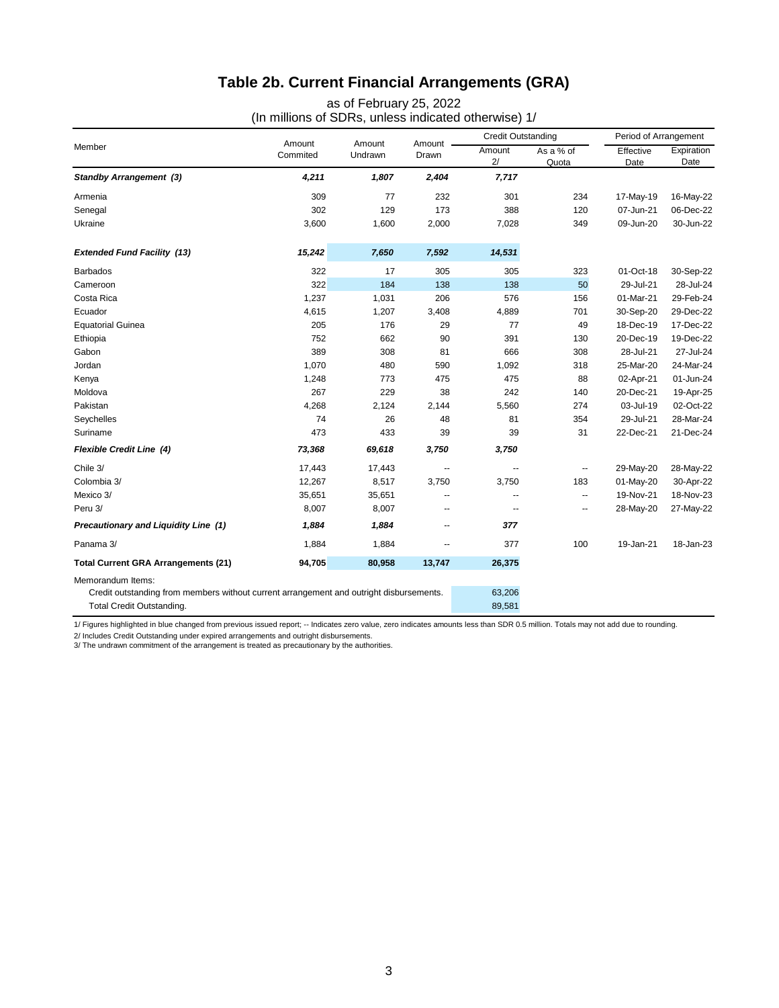# **Table 2b. Current Financial Arrangements (GRA)**

as of February 25, 2022 (In millions of SDRs, unless indicated otherwise) 1/

| Member                                                                                                       | Amount<br>Commited | Amount<br>Undrawn | Amount -<br>Drawn | <b>Credit Outstanding</b> |                          | Period of Arrangement |                    |
|--------------------------------------------------------------------------------------------------------------|--------------------|-------------------|-------------------|---------------------------|--------------------------|-----------------------|--------------------|
|                                                                                                              |                    |                   |                   | Amount<br>2/              | As a % of<br>Quota       | Effective<br>Date     | Expiration<br>Date |
| <b>Standby Arrangement (3)</b>                                                                               | 4,211              | 1,807             | 2,404             | 7,717                     |                          |                       |                    |
| Armenia                                                                                                      | 309                | 77                | 232               | 301                       | 234                      | 17-May-19             | 16-May-22          |
| Senegal                                                                                                      | 302                | 129               | 173               | 388                       | 120                      | 07-Jun-21             | 06-Dec-22          |
| Ukraine                                                                                                      | 3,600              | 1,600             | 2,000             | 7,028                     | 349                      | 09-Jun-20             | 30-Jun-22          |
| <b>Extended Fund Facility (13)</b>                                                                           | 15,242             | 7,650             | 7,592             | 14,531                    |                          |                       |                    |
| <b>Barbados</b>                                                                                              | 322                | 17                | 305               | 305                       | 323                      | 01-Oct-18             | 30-Sep-22          |
| Cameroon                                                                                                     | 322                | 184               | 138               | 138                       | 50                       | 29-Jul-21             | 28-Jul-24          |
| Costa Rica                                                                                                   | 1,237              | 1,031             | 206               | 576                       | 156                      | 01-Mar-21             | 29-Feb-24          |
| Ecuador                                                                                                      | 4,615              | 1,207             | 3,408             | 4,889                     | 701                      | 30-Sep-20             | 29-Dec-22          |
| <b>Equatorial Guinea</b>                                                                                     | 205                | 176               | 29                | 77                        | 49                       | 18-Dec-19             | 17-Dec-22          |
| Ethiopia                                                                                                     | 752                | 662               | 90                | 391                       | 130                      | 20-Dec-19             | 19-Dec-22          |
| Gabon                                                                                                        | 389                | 308               | 81                | 666                       | 308                      | 28-Jul-21             | 27-Jul-24          |
| Jordan                                                                                                       | 1,070              | 480               | 590               | 1,092                     | 318                      | 25-Mar-20             | 24-Mar-24          |
| Kenya                                                                                                        | 1,248              | 773               | 475               | 475                       | 88                       | 02-Apr-21             | 01-Jun-24          |
| Moldova                                                                                                      | 267                | 229               | 38                | 242                       | 140                      | 20-Dec-21             | 19-Apr-25          |
| Pakistan                                                                                                     | 4,268              | 2,124             | 2,144             | 5,560                     | 274                      | 03-Jul-19             | 02-Oct-22          |
| Seychelles                                                                                                   | 74                 | 26                | 48                | 81                        | 354                      | 29-Jul-21             | 28-Mar-24          |
| Suriname                                                                                                     | 473                | 433               | 39                | 39                        | 31                       | 22-Dec-21             | 21-Dec-24          |
| <b>Flexible Credit Line (4)</b>                                                                              | 73,368             | 69,618            | 3,750             | 3,750                     |                          |                       |                    |
| Chile 3/                                                                                                     | 17,443             | 17,443            | --                | --                        | $\overline{\phantom{a}}$ | 29-May-20             | 28-May-22          |
| Colombia 3/                                                                                                  | 12,267             | 8,517             | 3,750             | 3,750                     | 183                      | 01-May-20             | 30-Apr-22          |
| Mexico 3/                                                                                                    | 35,651             | 35,651            | --                | --                        | $\overline{\phantom{a}}$ | 19-Nov-21             | 18-Nov-23          |
| Peru 3/                                                                                                      | 8,007              | 8,007             | --                | --                        | $\overline{\phantom{a}}$ | 28-May-20             | 27-May-22          |
| Precautionary and Liquidity Line (1)                                                                         | 1,884              | 1,884             | --                | 377                       |                          |                       |                    |
| Panama 3/                                                                                                    | 1,884              | 1,884             | --                | 377                       | 100                      | 19-Jan-21             | 18-Jan-23          |
| <b>Total Current GRA Arrangements (21)</b>                                                                   | 94,705             | 80,958            | 13,747            | 26,375                    |                          |                       |                    |
| Memorandum Items:<br>Credit outstanding from members without current arrangement and outright disbursements. |                    |                   |                   |                           |                          |                       |                    |

Total Credit Outstanding. 89,581

1/ Figures highlighted in blue changed from previous issued report; -- Indicates zero value, zero indicates amounts less than SDR 0.5 million. Totals may not add due to rounding.

2/ Includes Credit Outstanding under expired arrangements and outright disbursements.<br>3/ The undrawn commitment of the arrangement is treated as precautionary by the authorities.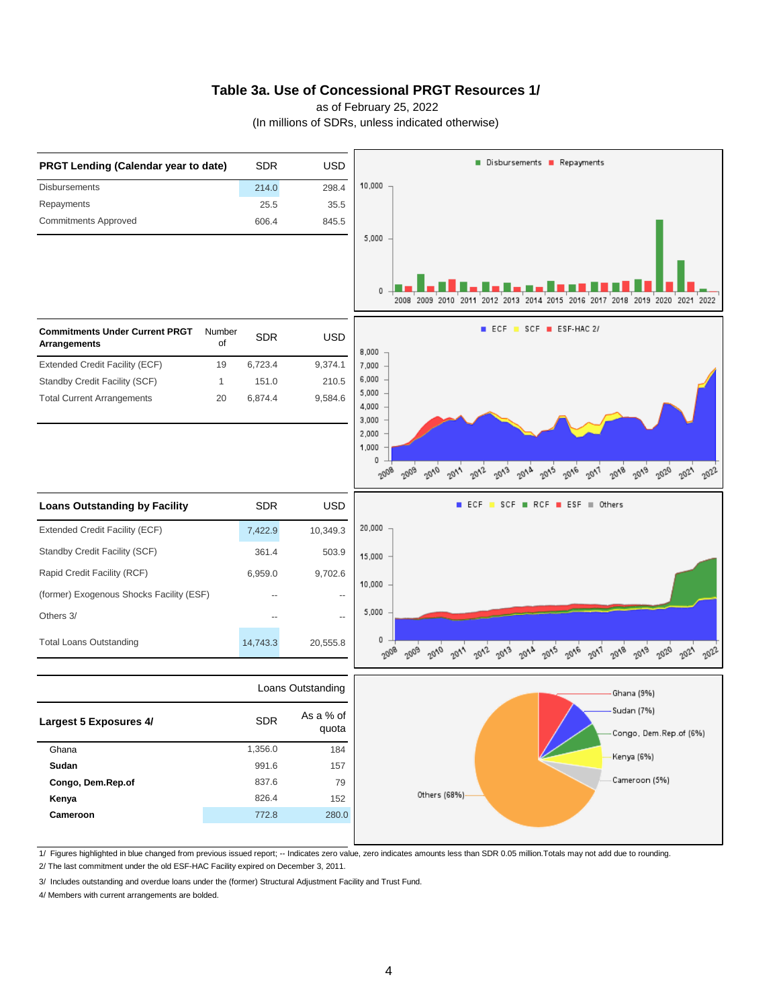### **Table 3a. Use of Concessional PRGT Resources 1/**

as of February 25, 2022

(In millions of SDRs, unless indicated otherwise)



1/ Figures highlighted in blue changed from previous issued report; -- Indicates zero value, zero indicates amounts less than SDR 0.05 million.Totals may not add due to rounding.

2/ The last commitment under the old ESF-HAC Facility expired on December 3, 2011.

3/ Includes outstanding and overdue loans under the (former) Structural Adjustment Facility and Trust Fund.

4/ Members with current arrangements are bolded.